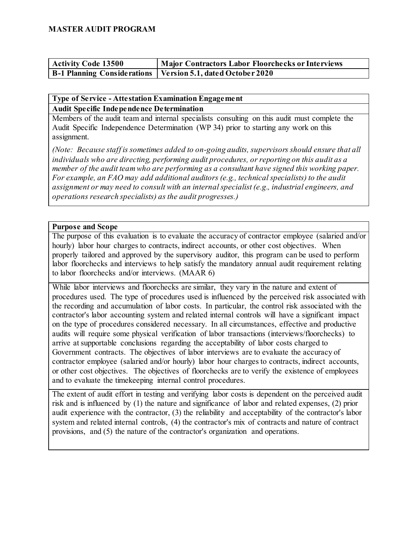| <b>Activity Code 13500</b> | Major Contractors Labor Floorchecks or Interviews             |
|----------------------------|---------------------------------------------------------------|
|                            | B-1 Planning Considerations   Version 5.1, dated October 2020 |

#### **Type of Service - Attestation Examination Engagement Audit Specific Independence Determination**

Members of the audit team and internal specialists consulting on this audit must complete the Audit Specific Independence Determination (WP 34) prior to starting any work on this assignment.

*(Note: Because staff is sometimes added to on-going audits, supervisors should ensure that all individuals who are directing, performing audit procedures, or reporting on this audit as a member of the audit team who are performing as a consultant have signed this working paper. For example, an FAO may add additional auditors (e.g., technical specialists) to the audit assignment or may need to consult with an internal specialist (e.g., industrial engineers, and operations research specialists) as the audit progresses.)*

#### **Purpose and Scope**

The purpose of this evaluation is to evaluate the accuracy of contractor employee (salaried and/or hourly) labor hour charges to contracts, indirect accounts, or other cost objectives. When properly tailored and approved by the supervisory auditor, this program can be used to perform labor floorchecks and interviews to help satisfy the mandatory annual audit requirement relating to labor floorchecks and/or interviews. (MAAR 6)

While labor interviews and floorchecks are similar, they vary in the nature and extent of procedures used. The type of procedures used is influenced by the perceived risk associated with the recording and accumulation of labor costs. In particular, the control risk associated with the contractor's labor accounting system and related internal controls will have a significant impact on the type of procedures considered necessary. In all circumstances, effective and productive audits will require some physical verification of labor transactions (interviews/floorchecks) to arrive at supportable conclusions regarding the acceptability of labor costs charged to Government contracts. The objectives of labor interviews are to evaluate the accuracy of contractor employee (salaried and/or hourly) labor hour charges to contracts, indirect accounts, or other cost objectives. The objectives of floorchecks are to verify the existence of employees and to evaluate the timekeeping internal control procedures.

The extent of audit effort in testing and verifying labor costs is dependent on the perceived audit risk and is influenced by (1) the nature and significance of labor and related expenses, (2) prior audit experience with the contractor, (3) the reliability and acceptability of the contractor's labor system and related internal controls, (4) the contractor's mix of contracts and nature of contract provisions, and (5) the nature of the contractor's organization and operations.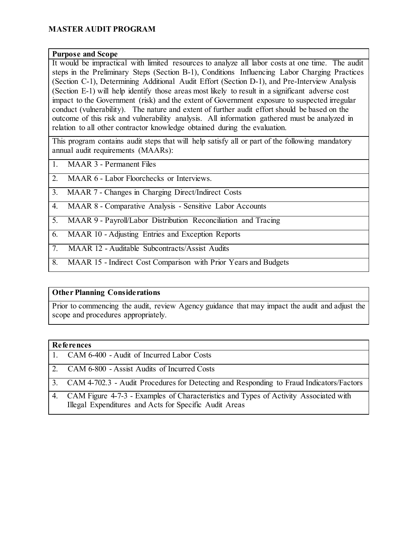#### **Purpose and Scope**

It would be impractical with limited resources to analyze all labor costs at one time. The audit steps in the Preliminary Steps (Section B-1), Conditions Influencing Labor Charging Practices (Section C-1), Determining Additional Audit Effort (Section D-1), and Pre-Interview Analysis (Section E-1) will help identify those areas most likely to result in a significant adverse cost impact to the Government (risk) and the extent of Government exposure to suspected irregular conduct (vulnerability). The nature and extent of further audit effort should be based on the outcome of this risk and vulnerability analysis. All information gathered must be analyzed in relation to all other contractor knowledge obtained during the evaluation.

This program contains audit steps that will help satisfy all or part of the following mandatory annual audit requirements (MAARs):

- 1. MAAR 3 Permanent Files
- 2. MAAR 6 Labor Floorchecks or Interviews.

3. MAAR 7 - Changes in Charging Direct/Indirect Costs

- 4. MAAR 8 Comparative Analysis Sensitive Labor Accounts
- 5. MAAR 9 Payroll/Labor Distribution Reconciliation and Tracing
- 6. MAAR 10 Adjusting Entries and Exception Reports
- 7. MAAR 12 Auditable Subcontracts/Assist Audits
- 8. MAAR 15 Indirect Cost Comparison with Prior Years and Budgets

#### **Other Planning Considerations**

Prior to commencing the audit, review Agency guidance that may impact the audit and adjust the scope and procedures appropriately.

#### **References**

|  | 1. CAM 6-400 - Audit of Incurred Labor Costs |  |  |  |  |
|--|----------------------------------------------|--|--|--|--|
|--|----------------------------------------------|--|--|--|--|

- 2. CAM 6-800 Assist Audits of Incurred Costs
- 3. CAM 4-702.3 Audit Procedures for Detecting and Responding to Fraud Indicators/Factors
- 4. CAM Figure 4-7-3 Examples of Characteristics and Types of Activity Associated with Illegal Expenditures and Acts for Specific Audit Areas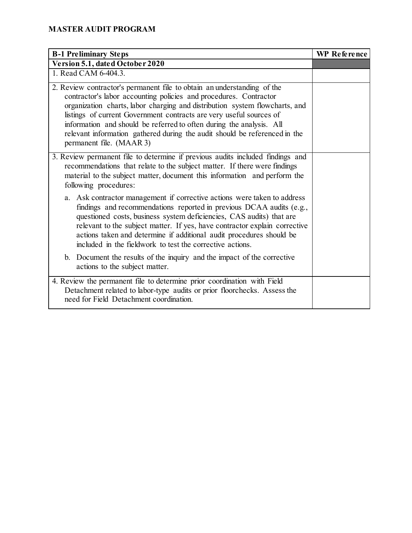| <b>B-1 Preliminary Steps</b>                                                                                                                                                                                                                                                                                                                                                                                                                                                         | <b>WP Reference</b> |
|--------------------------------------------------------------------------------------------------------------------------------------------------------------------------------------------------------------------------------------------------------------------------------------------------------------------------------------------------------------------------------------------------------------------------------------------------------------------------------------|---------------------|
| Version 5.1, dated October 2020                                                                                                                                                                                                                                                                                                                                                                                                                                                      |                     |
| 1. Read CAM 6-404.3.                                                                                                                                                                                                                                                                                                                                                                                                                                                                 |                     |
| 2. Review contractor's permanent file to obtain an understanding of the<br>contractor's labor accounting policies and procedures. Contractor<br>organization charts, labor charging and distribution system flowcharts, and<br>listings of current Government contracts are very useful sources of<br>information and should be referred to often during the analysis. All<br>relevant information gathered during the audit should be referenced in the<br>permanent file. (MAAR 3) |                     |
| 3. Review permanent file to determine if previous audits included findings and<br>recommendations that relate to the subject matter. If there were findings<br>material to the subject matter, document this information and perform the<br>following procedures:                                                                                                                                                                                                                    |                     |
| a. Ask contractor management if corrective actions were taken to address<br>findings and recommendations reported in previous DCAA audits (e.g.,<br>questioned costs, business system deficiencies, CAS audits) that are<br>relevant to the subject matter. If yes, have contractor explain corrective<br>actions taken and determine if additional audit procedures should be<br>included in the fieldwork to test the corrective actions.                                          |                     |
| b. Document the results of the inquiry and the impact of the corrective<br>actions to the subject matter.                                                                                                                                                                                                                                                                                                                                                                            |                     |
| 4. Review the permanent file to determine prior coordination with Field<br>Detachment related to labor-type audits or prior floorchecks. Assess the<br>need for Field Detachment coordination.                                                                                                                                                                                                                                                                                       |                     |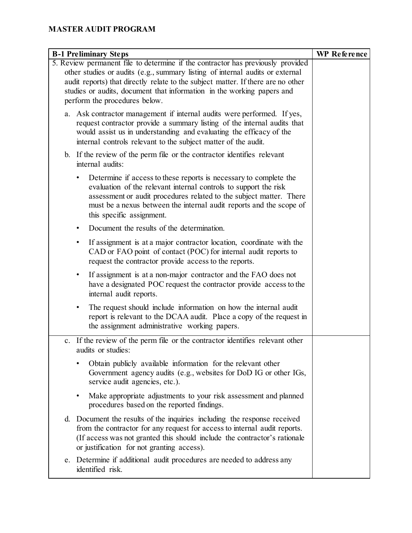| <b>B-1 Preliminary Steps</b>                                                                                                                                                                                                                                                                                                                                    | <b>WP</b> Reference |
|-----------------------------------------------------------------------------------------------------------------------------------------------------------------------------------------------------------------------------------------------------------------------------------------------------------------------------------------------------------------|---------------------|
| 5. Review permanent file to determine if the contractor has previously provided<br>other studies or audits (e.g., summary listing of internal audits or external<br>audit reports) that directly relate to the subject matter. If there are no other<br>studies or audits, document that information in the working papers and<br>perform the procedures below. |                     |
| a. Ask contractor management if internal audits were performed. If yes,<br>request contractor provide a summary listing of the internal audits that<br>would assist us in understanding and evaluating the efficacy of the<br>internal controls relevant to the subject matter of the audit.                                                                    |                     |
| b. If the review of the perm file or the contractor identifies relevant<br>internal audits:                                                                                                                                                                                                                                                                     |                     |
| Determine if access to these reports is necessary to complete the<br>evaluation of the relevant internal controls to support the risk<br>assessment or audit procedures related to the subject matter. There<br>must be a nexus between the internal audit reports and the scope of<br>this specific assignment.                                                |                     |
| Document the results of the determination.<br>$\bullet$                                                                                                                                                                                                                                                                                                         |                     |
| If assignment is at a major contractor location, coordinate with the<br>$\bullet$<br>CAD or FAO point of contact (POC) for internal audit reports to<br>request the contractor provide access to the reports.                                                                                                                                                   |                     |
| If assignment is at a non-major contractor and the FAO does not<br>٠<br>have a designated POC request the contractor provide access to the<br>internal audit reports.                                                                                                                                                                                           |                     |
| The request should include information on how the internal audit<br>$\bullet$<br>report is relevant to the DCAA audit. Place a copy of the request in<br>the assignment administrative working papers.                                                                                                                                                          |                     |
| c. If the review of the perm file or the contractor identifies relevant other<br>audits or studies:                                                                                                                                                                                                                                                             |                     |
| Obtain publicly available information for the relevant other<br>Government agency audits (e.g., websites for DoD IG or other IGs,<br>service audit agencies, etc.).                                                                                                                                                                                             |                     |
| Make appropriate adjustments to your risk assessment and planned<br>$\bullet$<br>procedures based on the reported findings.                                                                                                                                                                                                                                     |                     |
| Document the results of the inquiries including the response received<br>d.<br>from the contractor for any request for access to internal audit reports.<br>(If access was not granted this should include the contractor's rationale<br>or justification for not granting access).                                                                             |                     |
| e. Determine if additional audit procedures are needed to address any<br>identified risk.                                                                                                                                                                                                                                                                       |                     |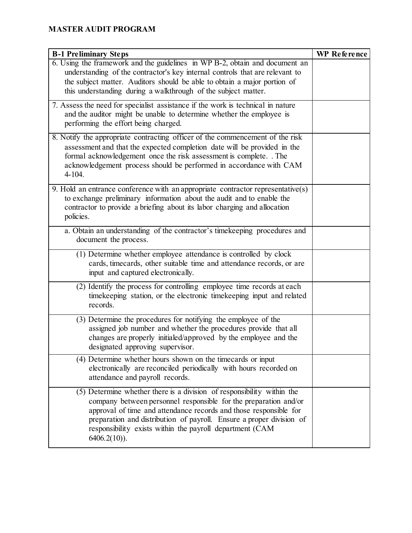| <b>B-1 Preliminary Steps</b>                                                                                                                                                                                                                                                                                                                                          | <b>WP</b> Reference |
|-----------------------------------------------------------------------------------------------------------------------------------------------------------------------------------------------------------------------------------------------------------------------------------------------------------------------------------------------------------------------|---------------------|
| 6. Using the framework and the guidelines in WP B-2, obtain and document an<br>understanding of the contractor's key internal controls that are relevant to<br>the subject matter. Auditors should be able to obtain a major portion of<br>this understanding during a walkthrough of the subject matter.                                                             |                     |
| 7. Assess the need for specialist assistance if the work is technical in nature<br>and the auditor might be unable to determine whether the employee is<br>performing the effort being charged.                                                                                                                                                                       |                     |
| 8. Notify the appropriate contracting officer of the commencement of the risk<br>assessment and that the expected completion date will be provided in the<br>formal acknowledgement once the risk assessment is complete. . The<br>acknowledgement process should be performed in accordance with CAM<br>$4-104.$                                                     |                     |
| 9. Hold an entrance conference with an appropriate contractor representative(s)<br>to exchange preliminary information about the audit and to enable the<br>contractor to provide a briefing about its labor charging and allocation<br>policies.                                                                                                                     |                     |
| a. Obtain an understanding of the contractor's time keeping procedures and<br>document the process.                                                                                                                                                                                                                                                                   |                     |
| (1) Determine whether employee attendance is controlled by clock<br>cards, timecards, other suitable time and attendance records, or are<br>input and captured electronically.                                                                                                                                                                                        |                     |
| (2) Identify the process for controlling employee time records at each<br>timekeeping station, or the electronic timekeeping input and related<br>records.                                                                                                                                                                                                            |                     |
| (3) Determine the procedures for notifying the employee of the<br>assigned job number and whether the procedures provide that all<br>changes are properly initialed/approved by the employee and the<br>designated approving supervisor.                                                                                                                              |                     |
| (4) Determine whether hours shown on the timecards or input<br>electronically are reconciled periodically with hours recorded on<br>attendance and payroll records.                                                                                                                                                                                                   |                     |
| (5) Determine whether there is a division of responsibility within the<br>company between personnel responsible for the preparation and/or<br>approval of time and attendance records and those responsible for<br>preparation and distribution of payroll. Ensure a proper division of<br>responsibility exists within the payroll department (CAM<br>$6406.2(10)$ . |                     |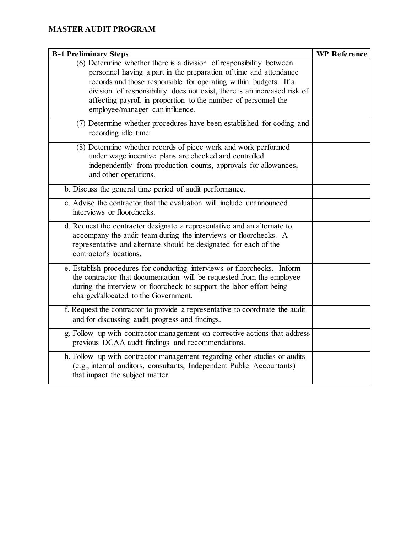| <b>B-1 Preliminary Steps</b>                                                                                                                                                                                                                                                               | <b>WP</b> Reference |
|--------------------------------------------------------------------------------------------------------------------------------------------------------------------------------------------------------------------------------------------------------------------------------------------|---------------------|
| $(6)$ Determine whether there is a division of responsibility between<br>personnel having a part in the preparation of time and attendance<br>records and those responsible for operating within budgets. If a<br>division of responsibility does not exist, there is an increased risk of |                     |
| affecting payroll in proportion to the number of personnel the<br>employee/manager can influence.                                                                                                                                                                                          |                     |
| (7) Determine whether procedures have been established for coding and<br>recording idle time.                                                                                                                                                                                              |                     |
| (8) Determine whether records of piece work and work performed<br>under wage incentive plans are checked and controlled<br>independently from production counts, approvals for allowances,<br>and other operations.                                                                        |                     |
| b. Discuss the general time period of audit performance.                                                                                                                                                                                                                                   |                     |
| c. Advise the contractor that the evaluation will include unannounced<br>interviews or floorchecks.                                                                                                                                                                                        |                     |
| d. Request the contractor designate a representative and an alternate to<br>accompany the audit team during the interviews or floorchecks. A<br>representative and alternate should be designated for each of the<br>contractor's locations.                                               |                     |
| e. Establish procedures for conducting interviews or floorchecks. Inform<br>the contractor that documentation will be requested from the employee<br>during the interview or floorcheck to support the labor effort being<br>charged/allocated to the Government.                          |                     |
| f. Request the contractor to provide a representative to coordinate the audit<br>and for discussing audit progress and findings.                                                                                                                                                           |                     |
| g. Follow up with contractor management on corrective actions that address<br>previous DCAA audit findings and recommendations.                                                                                                                                                            |                     |
| h. Follow up with contractor management regarding other studies or audits<br>(e.g., internal auditors, consultants, Independent Public Accountants)<br>that impact the subject matter.                                                                                                     |                     |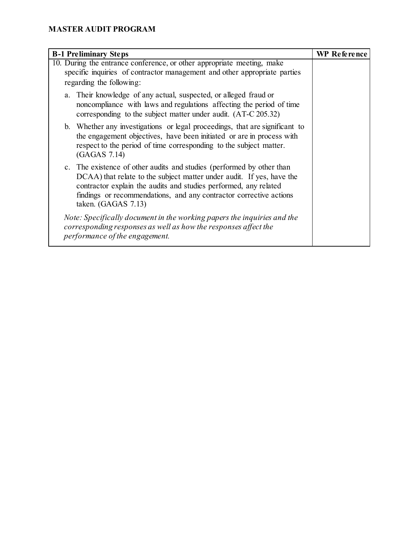| <b>B-1 Preliminary Steps</b>                                                                                                                                                                                                                                                                                    | <b>WP Reference</b> |
|-----------------------------------------------------------------------------------------------------------------------------------------------------------------------------------------------------------------------------------------------------------------------------------------------------------------|---------------------|
| 10. During the entrance conference, or other appropriate meeting, make<br>specific inquiries of contractor management and other appropriate parties<br>regarding the following:                                                                                                                                 |                     |
| a. Their knowledge of any actual, suspected, or alleged fraud or<br>noncompliance with laws and regulations affecting the period of time<br>corresponding to the subject matter under audit. (AT-C 205.32)                                                                                                      |                     |
| b. Whether any investigations or legal proceedings, that are significant to<br>the engagement objectives, have been initiated or are in process with<br>respect to the period of time corresponding to the subject matter.<br>(GAGAS 7.14)                                                                      |                     |
| c. The existence of other audits and studies (performed by other than<br>DCAA) that relate to the subject matter under audit. If yes, have the<br>contractor explain the audits and studies performed, any related<br>findings or recommendations, and any contractor corrective actions<br>taken. (GAGAS 7.13) |                     |
| Note: Specifically document in the working papers the inquiries and the<br>corresponding responses as well as how the responses affect the<br>performance of the engagement.                                                                                                                                    |                     |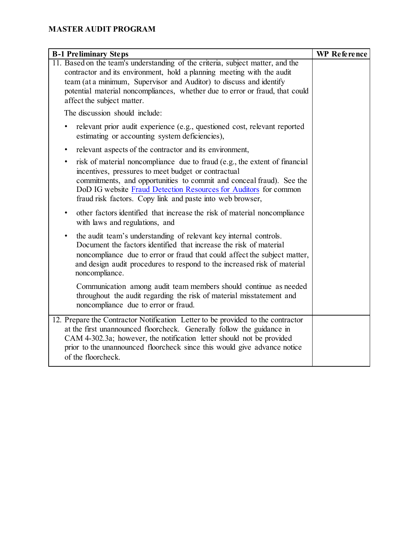| <b>B-1 Preliminary Steps</b>                                                                                                                                                                                                                                                                                                                            | <b>WP</b> Reference |
|---------------------------------------------------------------------------------------------------------------------------------------------------------------------------------------------------------------------------------------------------------------------------------------------------------------------------------------------------------|---------------------|
| 11. Based on the team's understanding of the criteria, subject matter, and the<br>contractor and its environment, hold a planning meeting with the audit<br>team (at a minimum, Supervisor and Auditor) to discuss and identify<br>potential material noncompliances, whether due to error or fraud, that could<br>affect the subject matter.           |                     |
| The discussion should include:                                                                                                                                                                                                                                                                                                                          |                     |
| relevant prior audit experience (e.g., questioned cost, relevant reported<br>$\bullet$<br>estimating or accounting system deficiencies),                                                                                                                                                                                                                |                     |
| relevant aspects of the contractor and its environment,<br>$\bullet$                                                                                                                                                                                                                                                                                    |                     |
| risk of material noncompliance due to fraud (e.g., the extent of financial<br>$\bullet$<br>incentives, pressures to meet budget or contractual<br>commitments, and opportunities to commit and conceal fraud). See the<br>DoD IG website Fraud Detection Resources for Auditors for common<br>fraud risk factors. Copy link and paste into web browser, |                     |
| other factors identified that increase the risk of material noncompliance<br>$\bullet$<br>with laws and regulations, and                                                                                                                                                                                                                                |                     |
| the audit team's understanding of relevant key internal controls.<br>$\bullet$<br>Document the factors identified that increase the risk of material<br>noncompliance due to error or fraud that could affect the subject matter,<br>and design audit procedures to respond to the increased risk of material<br>noncompliance.                         |                     |
| Communication among audit team members should continue as needed<br>throughout the audit regarding the risk of material misstatement and<br>noncompliance due to error or fraud.                                                                                                                                                                        |                     |
| 12. Prepare the Contractor Notification Letter to be provided to the contractor<br>at the first unannounced floorcheck. Generally follow the guidance in<br>CAM 4-302.3a; however, the notification letter should not be provided<br>prior to the unannounced floorcheck since this would give advance notice<br>of the floorcheck.                     |                     |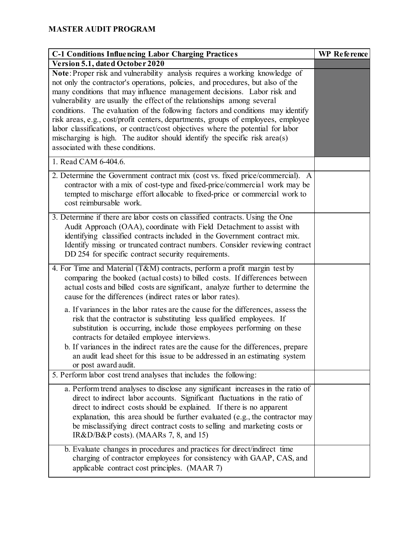| <b>C-1 Conditions Influencing Labor Charging Practices</b>                                                                                                                                                                                                                                                                                                                                                                                                                                                                                                                                                                                                                                           | <b>WP</b> Reference |
|------------------------------------------------------------------------------------------------------------------------------------------------------------------------------------------------------------------------------------------------------------------------------------------------------------------------------------------------------------------------------------------------------------------------------------------------------------------------------------------------------------------------------------------------------------------------------------------------------------------------------------------------------------------------------------------------------|---------------------|
| Version 5.1, dated October 2020                                                                                                                                                                                                                                                                                                                                                                                                                                                                                                                                                                                                                                                                      |                     |
| Note: Proper risk and vulnerability analysis requires a working knowledge of<br>not only the contractor's operations, policies, and procedures, but also of the<br>many conditions that may influence management decisions. Labor risk and<br>vulnerability are usually the effect of the relationships among several<br>conditions. The evaluation of the following factors and conditions may identify<br>risk areas, e.g., cost/profit centers, departments, groups of employees, employee<br>labor classifications, or contract/cost objectives where the potential for labor<br>mischarging is high. The auditor should identify the specific risk area(s)<br>associated with these conditions. |                     |
| 1. Read CAM 6-404.6.                                                                                                                                                                                                                                                                                                                                                                                                                                                                                                                                                                                                                                                                                 |                     |
| 2. Determine the Government contract mix (cost vs. fixed price/commercial). A<br>contractor with a mix of cost-type and fixed-price/commercial work may be<br>tempted to mischarge effort allocable to fixed-price or commercial work to<br>cost reimbursable work.                                                                                                                                                                                                                                                                                                                                                                                                                                  |                     |
| 3. Determine if there are labor costs on classified contracts. Using the One<br>Audit Approach (OAA), coordinate with Field Detachment to assist with<br>identifying classified contracts included in the Government contract mix.<br>Identify missing or truncated contract numbers. Consider reviewing contract<br>DD 254 for specific contract security requirements.                                                                                                                                                                                                                                                                                                                             |                     |
| 4. For Time and Material (T&M) contracts, perform a profit margin test by<br>comparing the booked (actual costs) to billed costs. If differences between<br>actual costs and billed costs are significant, analyze further to determine the<br>cause for the differences (indirect rates or labor rates).                                                                                                                                                                                                                                                                                                                                                                                            |                     |
| a. If variances in the labor rates are the cause for the differences, assess the<br>risk that the contractor is substituting less qualified employees. If<br>substitution is occurring, include those employees performing on these<br>contracts for detailed employee interviews.<br>b. If variances in the indirect rates are the cause for the differences, prepare<br>an audit lead sheet for this issue to be addressed in an estimating system<br>or post award audit.<br>5. Perform labor cost trend analyses that includes the following:                                                                                                                                                    |                     |
| a. Perform trend analyses to disclose any significant increases in the ratio of<br>direct to indirect labor accounts. Significant fluctuations in the ratio of<br>direct to indirect costs should be explained. If there is no apparent<br>explanation, this area should be further evaluated (e.g., the contractor may<br>be misclassifying direct contract costs to selling and marketing costs or<br>$IR&D/B&P \text{ costs}$ . (MAARs 7, 8, and 15)                                                                                                                                                                                                                                              |                     |
| b. Evaluate changes in procedures and practices for direct/indirect time<br>charging of contractor employees for consistency with GAAP, CAS, and<br>applicable contract cost principles. (MAAR 7)                                                                                                                                                                                                                                                                                                                                                                                                                                                                                                    |                     |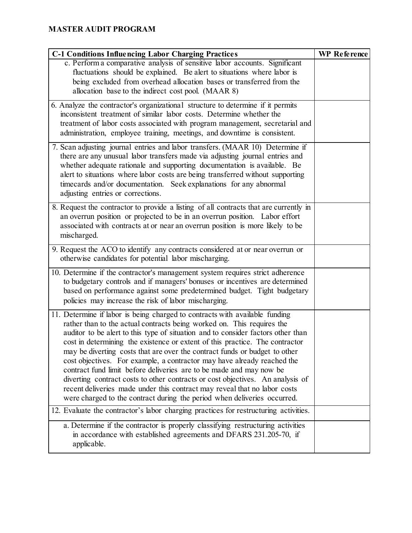| <b>C-1 Conditions Influencing Labor Charging Practices</b>                                                                                                                                                                                                                                                                                                                                                                                                                                                                                                                                                                                                                                                                                                                                           | <b>WP</b> Reference |
|------------------------------------------------------------------------------------------------------------------------------------------------------------------------------------------------------------------------------------------------------------------------------------------------------------------------------------------------------------------------------------------------------------------------------------------------------------------------------------------------------------------------------------------------------------------------------------------------------------------------------------------------------------------------------------------------------------------------------------------------------------------------------------------------------|---------------------|
| c. Perform a comparative analysis of sensitive labor accounts. Significant<br>fluctuations should be explained. Be alert to situations where labor is<br>being excluded from overhead allocation bases or transferred from the<br>allocation base to the indirect cost pool. (MAAR 8)                                                                                                                                                                                                                                                                                                                                                                                                                                                                                                                |                     |
| 6. Analyze the contractor's organizational structure to determine if it permits<br>inconsistent treatment of similar labor costs. Determine whether the<br>treatment of labor costs associated with program management, secretarial and<br>administration, employee training, meetings, and downtime is consistent.                                                                                                                                                                                                                                                                                                                                                                                                                                                                                  |                     |
| 7. Scan adjusting journal entries and labor transfers. (MAAR 10) Determine if<br>there are any unusual labor transfers made via adjusting journal entries and<br>whether adequate rationale and supporting documentation is available. Be<br>alert to situations where labor costs are being transferred without supporting<br>timecards and/or documentation. Seek explanations for any abnormal<br>adjusting entries or corrections.                                                                                                                                                                                                                                                                                                                                                               |                     |
| 8. Request the contractor to provide a listing of all contracts that are currently in<br>an overrun position or projected to be in an overrun position. Labor effort<br>associated with contracts at or near an overrun position is more likely to be<br>mischarged.                                                                                                                                                                                                                                                                                                                                                                                                                                                                                                                                 |                     |
| 9. Request the ACO to identify any contracts considered at or near overrun or<br>otherwise candidates for potential labor mischarging.                                                                                                                                                                                                                                                                                                                                                                                                                                                                                                                                                                                                                                                               |                     |
| 10. Determine if the contractor's management system requires strict adherence<br>to budgetary controls and if managers' bonuses or incentives are determined<br>based on performance against some predetermined budget. Tight budgetary<br>policies may increase the risk of labor mischarging.                                                                                                                                                                                                                                                                                                                                                                                                                                                                                                      |                     |
| 11. Determine if labor is being charged to contracts with available funding<br>rather than to the actual contracts being worked on. This requires the<br>auditor to be alert to this type of situation and to consider factors other than<br>cost in determining the existence or extent of this practice. The contractor<br>may be diverting costs that are over the contract funds or budget to other<br>cost objectives. For example, a contractor may have already reached the<br>contract fund limit before deliveries are to be made and may now be<br>diverting contract costs to other contracts or cost objectives. An analysis of<br>recent deliveries made under this contract may reveal that no labor costs<br>were charged to the contract during the period when deliveries occurred. |                     |
| 12. Evaluate the contractor's labor charging practices for restructuring activities.                                                                                                                                                                                                                                                                                                                                                                                                                                                                                                                                                                                                                                                                                                                 |                     |
| a. Determine if the contractor is properly classifying restructuring activities<br>in accordance with established agreements and DFARS 231.205-70, if<br>applicable.                                                                                                                                                                                                                                                                                                                                                                                                                                                                                                                                                                                                                                 |                     |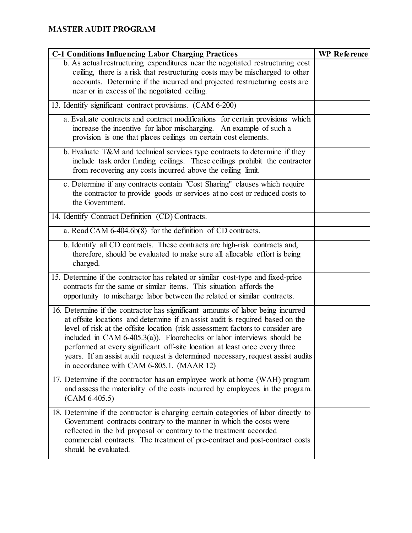| <b>C-1 Conditions Influencing Labor Charging Practices</b>                                                                                                                                                                                                                                                                                                                                                                                                                                                                                      | <b>WP</b> Reference |
|-------------------------------------------------------------------------------------------------------------------------------------------------------------------------------------------------------------------------------------------------------------------------------------------------------------------------------------------------------------------------------------------------------------------------------------------------------------------------------------------------------------------------------------------------|---------------------|
| b. As actual restructuring expenditures near the negotiated restructuring cost<br>ceiling, there is a risk that restructuring costs may be mischarged to other<br>accounts. Determine if the incurred and projected restructuring costs are<br>near or in excess of the negotiated ceiling.                                                                                                                                                                                                                                                     |                     |
| 13. Identify significant contract provisions. (CAM 6-200)                                                                                                                                                                                                                                                                                                                                                                                                                                                                                       |                     |
| a. Evaluate contracts and contract modifications for certain provisions which<br>increase the incentive for labor mischarging. An example of such a<br>provision is one that places ceilings on certain cost elements.                                                                                                                                                                                                                                                                                                                          |                     |
| b. Evaluate T&M and technical services type contracts to determine if they<br>include task order funding ceilings. These ceilings prohibit the contractor<br>from recovering any costs incurred above the ceiling limit.                                                                                                                                                                                                                                                                                                                        |                     |
| c. Determine if any contracts contain "Cost Sharing" clauses which require<br>the contractor to provide goods or services at no cost or reduced costs to<br>the Government.                                                                                                                                                                                                                                                                                                                                                                     |                     |
| 14. Identify Contract Definition (CD) Contracts.                                                                                                                                                                                                                                                                                                                                                                                                                                                                                                |                     |
| a. Read CAM 6-404.6b(8) for the definition of CD contracts.                                                                                                                                                                                                                                                                                                                                                                                                                                                                                     |                     |
| b. Identify all CD contracts. These contracts are high-risk contracts and,<br>therefore, should be evaluated to make sure all allocable effort is being<br>charged.                                                                                                                                                                                                                                                                                                                                                                             |                     |
| 15. Determine if the contractor has related or similar cost-type and fixed-price<br>contracts for the same or similar items. This situation affords the<br>opportunity to mischarge labor between the related or similar contracts.                                                                                                                                                                                                                                                                                                             |                     |
| 16. Determine if the contractor has significant amounts of labor being incurred<br>at offsite locations and determine if an assist audit is required based on the<br>level of risk at the offsite location (risk assessment factors to consider are<br>included in CAM $6-405.3(a)$ ). Floorchecks or labor interviews should be<br>performed at every significant off-site location at least once every three<br>years. If an assist audit request is determined necessary, request assist audits<br>in accordance with CAM 6-805.1. (MAAR 12) |                     |
| 17. Determine if the contractor has an employee work at home (WAH) program<br>and assess the materiality of the costs incurred by employees in the program.<br>$(CAM 6-405.5)$                                                                                                                                                                                                                                                                                                                                                                  |                     |
| 18. Determine if the contractor is charging certain categories of labor directly to<br>Government contracts contrary to the manner in which the costs were<br>reflected in the bid proposal or contrary to the treatment accorded<br>commercial contracts. The treatment of pre-contract and post-contract costs<br>should be evaluated.                                                                                                                                                                                                        |                     |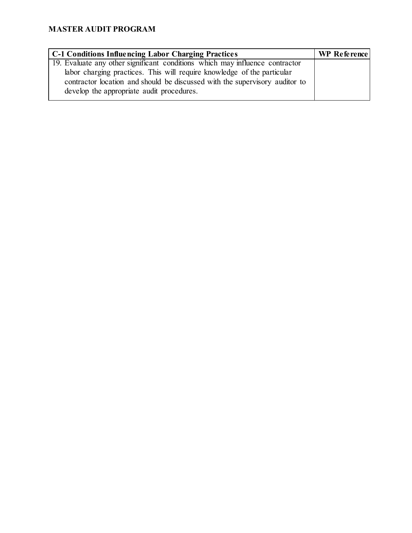| WP Reference |
|--------------|
|              |
|              |
|              |
|              |
|              |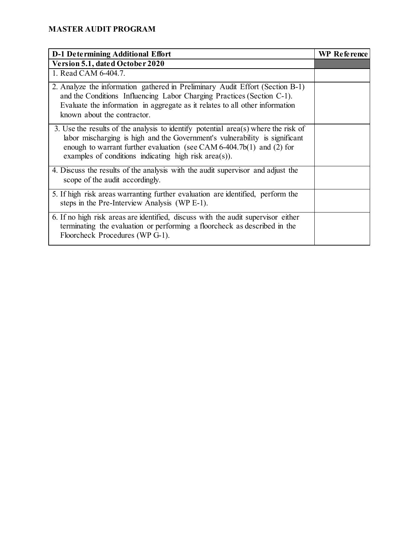| <b>D-1 Determining Additional Effort</b>                                                                                                                                                                                                                                                                     | <b>WP</b> Reference |
|--------------------------------------------------------------------------------------------------------------------------------------------------------------------------------------------------------------------------------------------------------------------------------------------------------------|---------------------|
| Version 5.1, dated October 2020                                                                                                                                                                                                                                                                              |                     |
| 1. Read CAM 6-404.7.                                                                                                                                                                                                                                                                                         |                     |
| 2. Analyze the information gathered in Preliminary Audit Effort (Section B-1)<br>and the Conditions Influencing Labor Charging Practices (Section C-1).<br>Evaluate the information in aggregate as it relates to all other information<br>known about the contractor.                                       |                     |
| 3. Use the results of the analysis to identify potential $area(s)$ where the risk of<br>labor mischarging is high and the Government's vulnerability is significant<br>enough to warrant further evaluation (see CAM $6-404.7b(1)$ ) and (2) for<br>examples of conditions indicating high risk $area(s)$ ). |                     |
| 4. Discuss the results of the analysis with the audit supervisor and adjust the<br>scope of the audit accordingly.                                                                                                                                                                                           |                     |
| 5. If high risk areas warranting further evaluation are identified, perform the<br>steps in the Pre-Interview Analysis (WP E-1).                                                                                                                                                                             |                     |
| 6. If no high risk areas are identified, discuss with the audit supervisor either<br>terminating the evaluation or performing a floorcheck as described in the<br>Floorcheck Procedures (WP G-1).                                                                                                            |                     |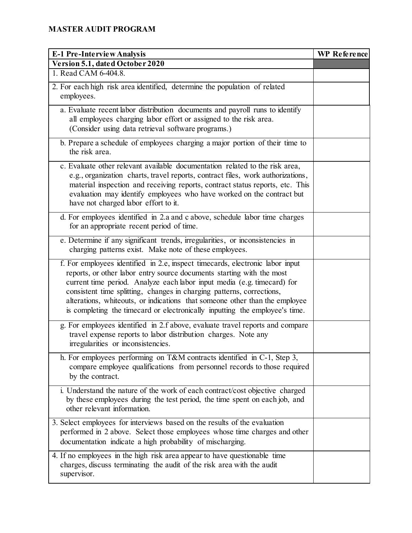| E-1 Pre-Interview Analysis                                                                                                                                                                                                                                                                                                                                                                                                                                               | WP Reference |
|--------------------------------------------------------------------------------------------------------------------------------------------------------------------------------------------------------------------------------------------------------------------------------------------------------------------------------------------------------------------------------------------------------------------------------------------------------------------------|--------------|
| Version 5.1, dated October 2020                                                                                                                                                                                                                                                                                                                                                                                                                                          |              |
| 1. Read CAM 6-404.8.                                                                                                                                                                                                                                                                                                                                                                                                                                                     |              |
| 2. For each high risk area identified, determine the population of related<br>employees.                                                                                                                                                                                                                                                                                                                                                                                 |              |
| a. Evaluate recent labor distribution documents and payroll runs to identify<br>all employees charging labor effort or assigned to the risk area.<br>(Consider using data retrieval software programs.)                                                                                                                                                                                                                                                                  |              |
| b. Prepare a schedule of employees charging a major portion of their time to<br>the risk area.                                                                                                                                                                                                                                                                                                                                                                           |              |
| c. Evaluate other relevant available documentation related to the risk area,<br>e.g., organization charts, travel reports, contract files, work authorizations,<br>material inspection and receiving reports, contract status reports, etc. This<br>evaluation may identify employees who have worked on the contract but<br>have not charged labor effort to it.                                                                                                        |              |
| d. For employees identified in 2.a and c above, schedule labor time charges<br>for an appropriate recent period of time.                                                                                                                                                                                                                                                                                                                                                 |              |
| e. Determine if any significant trends, irregularities, or inconsistencies in<br>charging patterns exist. Make note of these employees.                                                                                                                                                                                                                                                                                                                                  |              |
| f. For employees identified in 2.e, inspect timecards, electronic labor input<br>reports, or other labor entry source documents starting with the most<br>current time period. Analyze each labor input media (e.g. timecard) for<br>consistent time splitting, changes in charging patterns, corrections,<br>alterations, whiteouts, or indications that someone other than the employee<br>is completing the timecard or electronically inputting the employee's time. |              |
| g. For employees identified in 2.f above, evaluate travel reports and compare<br>travel expense reports to labor distribution charges. Note any<br>irregularities or inconsistencies.                                                                                                                                                                                                                                                                                    |              |
| h. For employees performing on T&M contracts identified in C-1, Step 3,<br>compare employee qualifications from personnel records to those required<br>by the contract.                                                                                                                                                                                                                                                                                                  |              |
| i. Understand the nature of the work of each contract/cost objective charged<br>by these employees during the test period, the time spent on each job, and<br>other relevant information.                                                                                                                                                                                                                                                                                |              |
| 3. Select employees for interviews based on the results of the evaluation<br>performed in 2 above. Select those employees whose time charges and other<br>documentation indicate a high probability of mischarging.                                                                                                                                                                                                                                                      |              |
| 4. If no employees in the high risk area appear to have questionable time<br>charges, discuss terminating the audit of the risk area with the audit<br>supervisor.                                                                                                                                                                                                                                                                                                       |              |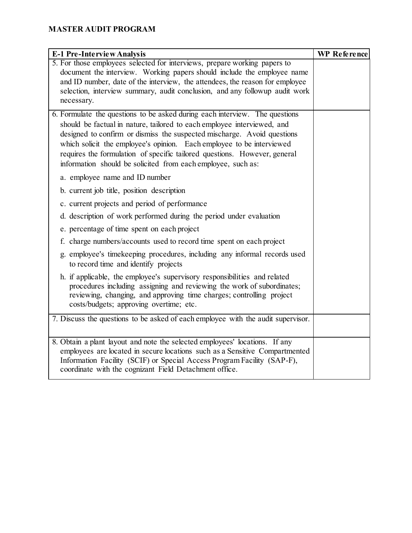| E-1 Pre-Interview Analysis                                                                                                                                                                                                                                             | WP Reference |
|------------------------------------------------------------------------------------------------------------------------------------------------------------------------------------------------------------------------------------------------------------------------|--------------|
| 5. For those employees selected for interviews, prepare working papers to                                                                                                                                                                                              |              |
| document the interview. Working papers should include the employee name                                                                                                                                                                                                |              |
| and ID number, date of the interview, the attendees, the reason for employee                                                                                                                                                                                           |              |
| selection, interview summary, audit conclusion, and any followup audit work                                                                                                                                                                                            |              |
| necessary.                                                                                                                                                                                                                                                             |              |
| 6. Formulate the questions to be asked during each interview. The questions                                                                                                                                                                                            |              |
| should be factual in nature, tailored to each employee interviewed, and                                                                                                                                                                                                |              |
| designed to confirm or dismiss the suspected mischarge. Avoid questions                                                                                                                                                                                                |              |
| which solicit the employee's opinion. Each employee to be interviewed                                                                                                                                                                                                  |              |
| requires the formulation of specific tailored questions. However, general                                                                                                                                                                                              |              |
| information should be solicited from each employee, such as:                                                                                                                                                                                                           |              |
| a. employee name and ID number                                                                                                                                                                                                                                         |              |
| b. current job title, position description                                                                                                                                                                                                                             |              |
| c. current projects and period of performance                                                                                                                                                                                                                          |              |
| d. description of work performed during the period under evaluation                                                                                                                                                                                                    |              |
| e. percentage of time spent on each project                                                                                                                                                                                                                            |              |
| f. charge numbers/accounts used to record time spent on each project                                                                                                                                                                                                   |              |
| g. employee's timekeeping procedures, including any informal records used<br>to record time and identify projects                                                                                                                                                      |              |
| h. if applicable, the employee's supervisory responsibilities and related<br>procedures including assigning and reviewing the work of subordinates;<br>reviewing, changing, and approving time charges; controlling project<br>costs/budgets; approving overtime; etc. |              |
| 7. Discuss the questions to be asked of each employee with the audit supervisor.                                                                                                                                                                                       |              |
|                                                                                                                                                                                                                                                                        |              |
| 8. Obtain a plant layout and note the selected employees' locations. If any                                                                                                                                                                                            |              |
| employees are located in secure locations such as a Sensitive Compartmented                                                                                                                                                                                            |              |
| Information Facility (SCIF) or Special Access Program Facility (SAP-F),                                                                                                                                                                                                |              |
| coordinate with the cognizant Field Detachment office.                                                                                                                                                                                                                 |              |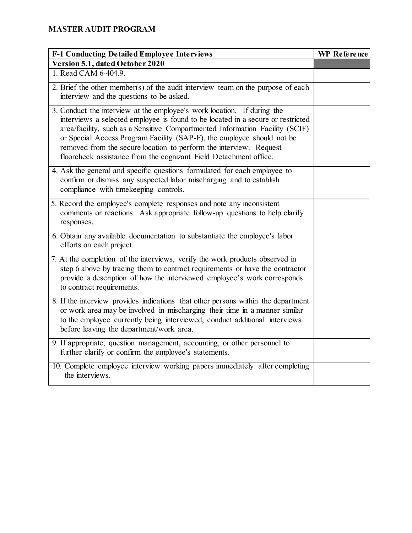| <b>F-1 Conducting Detailed Employee Interviews</b>                                                                                                                                                                                                                                                                                                                                                                                                              | WP Reference |
|-----------------------------------------------------------------------------------------------------------------------------------------------------------------------------------------------------------------------------------------------------------------------------------------------------------------------------------------------------------------------------------------------------------------------------------------------------------------|--------------|
| Version 5.1, dated October 2020                                                                                                                                                                                                                                                                                                                                                                                                                                 |              |
| 1. Read CAM 6-404.9.                                                                                                                                                                                                                                                                                                                                                                                                                                            |              |
| 2. Brief the other member(s) of the audit interview team on the purpose of each<br>interview and the questions to be asked.                                                                                                                                                                                                                                                                                                                                     |              |
| 3. Conduct the interview at the employee's work location. If during the<br>interviews a selected employee is found to be located in a secure or restricted<br>area/facility, such as a Sensitive Compartmented Information Facility (SCIF)<br>or Special Access Program Facility (SAP-F), the employee should not be<br>removed from the secure location to perform the interview. Request<br>floorcheck assistance from the cognizant Field Detachment office. |              |
| 4. Ask the general and specific questions formulated for each employee to<br>confirm or dismiss any suspected labor mischarging and to establish<br>compliance with timekeeping controls.                                                                                                                                                                                                                                                                       |              |
| 5. Record the employee's complete responses and note any inconsistent<br>comments or reactions. Ask appropriate follow-up questions to help clarify<br>responses.                                                                                                                                                                                                                                                                                               |              |
| 6. Obtain any available documentation to substantiate the employee's labor<br>efforts on each project.                                                                                                                                                                                                                                                                                                                                                          |              |
| 7. At the completion of the interviews, verify the work products observed in<br>step 6 above by tracing them to contract requirements or have the contractor<br>provide a description of how the interviewed employee's work corresponds<br>to contract requirements.                                                                                                                                                                                           |              |
| 8. If the interview provides indications that other persons within the department<br>or work area may be involved in mischarging their time in a manner similar<br>to the employee currently being interviewed, conduct additional interviews<br>before leaving the department/work area.                                                                                                                                                                       |              |
| 9. If appropriate, question management, accounting, or other personnel to<br>further clarify or confirm the employee's statements.                                                                                                                                                                                                                                                                                                                              |              |
| 10. Complete employee interview working papers immediately after completing<br>the interviews.                                                                                                                                                                                                                                                                                                                                                                  |              |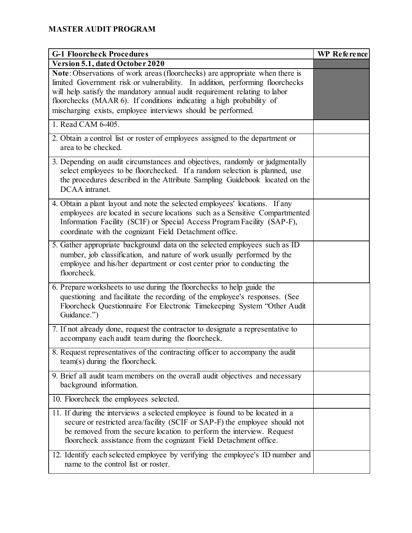| <b>G-1 Floorcheck Procedures</b>                                                                                                                                                                                                                                                                                                                                                    | <b>WP</b> Reference |
|-------------------------------------------------------------------------------------------------------------------------------------------------------------------------------------------------------------------------------------------------------------------------------------------------------------------------------------------------------------------------------------|---------------------|
| Version 5.1, dated October 2020                                                                                                                                                                                                                                                                                                                                                     |                     |
| Note: Observations of work areas (floorchecks) are appropriate when there is<br>limited Government risk or vulnerability. In addition, performing floorchecks<br>will help satisfy the mandatory annual audit requirement relating to labor<br>floorchecks (MAAR 6). If conditions indicating a high probability of<br>mischarging exists, employee interviews should be performed. |                     |
| 1. Read CAM 6-405.                                                                                                                                                                                                                                                                                                                                                                  |                     |
| 2. Obtain a control list or roster of employees assigned to the department or<br>area to be checked.                                                                                                                                                                                                                                                                                |                     |
| 3. Depending on audit circumstances and objectives, randomly or judgmentally<br>select employees to be floorchecked. If a random selection is planned, use<br>the procedures described in the Attribute Sampling Guidebook located on the<br>DCAA intranet.                                                                                                                         |                     |
| 4. Obtain a plant layout and note the selected employees' locations. If any<br>employees are located in secure locations such as a Sensitive Compartmented<br>Information Facility (SCIF) or Special Access Program Facility (SAP-F),<br>coordinate with the cognizant Field Detachment office.                                                                                     |                     |
| 5. Gather appropriate background data on the selected employees such as ID<br>number, job classification, and nature of work usually performed by the<br>employee and his/her department or cost center prior to conducting the<br>floorcheck.                                                                                                                                      |                     |
| 6. Prepare worksheets to use during the floorchecks to help guide the<br>questioning and facilitate the recording of the employee's responses. (See<br>Floorcheck Questionnaire For Electronic Timekeeping System "Other Audit<br>Guidance.")                                                                                                                                       |                     |
| 7. If not already done, request the contractor to designate a representative to<br>accompany each audit team during the floorcheck.                                                                                                                                                                                                                                                 |                     |
| 8. Request representatives of the contracting officer to accompany the audit<br>team(s) during the floorcheck.                                                                                                                                                                                                                                                                      |                     |
| 9. Brief all audit team members on the overall audit objectives and necessary<br>background information.                                                                                                                                                                                                                                                                            |                     |
| 10. Floorcheck the employees selected.                                                                                                                                                                                                                                                                                                                                              |                     |
| 11. If during the interviews a selected employee is found to be located in a<br>secure or restricted area/facility (SCIF or SAP-F) the employee should not<br>be removed from the secure location to perform the interview. Request<br>floorcheck assistance from the cognizant Field Detachment office.                                                                            |                     |
| 12. Identify each selected employee by verifying the employee's ID number and<br>name to the control list or roster.                                                                                                                                                                                                                                                                |                     |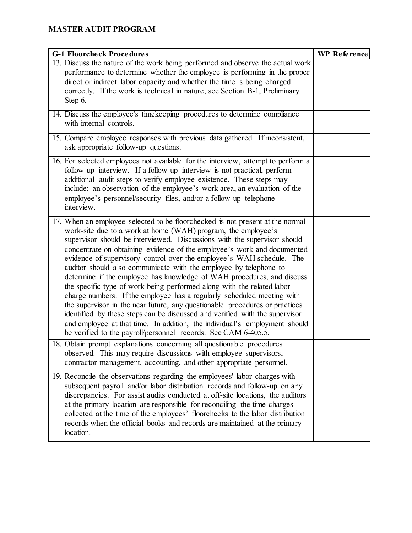| <b>G-1 Floorcheck Procedures</b>                                                                                                                                                                                                                                                                                                                                                                                                                                                                                                                                                                                                                                                                                                                                                                                                                                                                                                                                                                | <b>WP</b> Reference |
|-------------------------------------------------------------------------------------------------------------------------------------------------------------------------------------------------------------------------------------------------------------------------------------------------------------------------------------------------------------------------------------------------------------------------------------------------------------------------------------------------------------------------------------------------------------------------------------------------------------------------------------------------------------------------------------------------------------------------------------------------------------------------------------------------------------------------------------------------------------------------------------------------------------------------------------------------------------------------------------------------|---------------------|
| 13. Discuss the nature of the work being performed and observe the actual work<br>performance to determine whether the employee is performing in the proper<br>direct or indirect labor capacity and whether the time is being charged<br>correctly. If the work is technical in nature, see Section B-1, Preliminary<br>Step 6.                                                                                                                                                                                                                                                                                                                                                                                                                                                                                                                                                                                                                                                                |                     |
| 14. Discuss the employee's timekeeping procedures to determine compliance<br>with internal controls.                                                                                                                                                                                                                                                                                                                                                                                                                                                                                                                                                                                                                                                                                                                                                                                                                                                                                            |                     |
| 15. Compare employee responses with previous data gathered. If inconsistent,<br>ask appropriate follow-up questions.                                                                                                                                                                                                                                                                                                                                                                                                                                                                                                                                                                                                                                                                                                                                                                                                                                                                            |                     |
| 16. For selected employees not available for the interview, attempt to perform a<br>follow-up interview. If a follow-up interview is not practical, perform<br>additional audit steps to verify employee existence. These steps may<br>include: an observation of the employee's work area, an evaluation of the<br>employee's personnel/security files, and/or a follow-up telephone<br>interview.                                                                                                                                                                                                                                                                                                                                                                                                                                                                                                                                                                                             |                     |
| 17. When an employee selected to be floorchecked is not present at the normal<br>work-site due to a work at home (WAH) program, the employee's<br>supervisor should be interviewed. Discussions with the supervisor should<br>concentrate on obtaining evidence of the employee's work and documented<br>evidence of supervisory control over the employee's WAH schedule. The<br>auditor should also communicate with the employee by telephone to<br>determine if the employee has knowledge of WAH procedures, and discuss<br>the specific type of work being performed along with the related labor<br>charge numbers. If the employee has a regularly scheduled meeting with<br>the supervisor in the near future, any questionable procedures or practices<br>identified by these steps can be discussed and verified with the supervisor<br>and employee at that time. In addition, the individual's employment should<br>be verified to the payroll/personnel records. See CAM 6-405.5. |                     |
| 18. Obtain prompt explanations concerning all questionable procedures<br>observed. This may require discussions with employee supervisors,<br>contractor management, accounting, and other appropriate personnel.                                                                                                                                                                                                                                                                                                                                                                                                                                                                                                                                                                                                                                                                                                                                                                               |                     |
| 19. Reconcile the observations regarding the employees' labor charges with<br>subsequent payroll and/or labor distribution records and follow-up on any<br>discrepancies. For assist audits conducted at off-site locations, the auditors<br>at the primary location are responsible for reconciling the time charges<br>collected at the time of the employees' floorchecks to the labor distribution<br>records when the official books and records are maintained at the primary<br>location.                                                                                                                                                                                                                                                                                                                                                                                                                                                                                                |                     |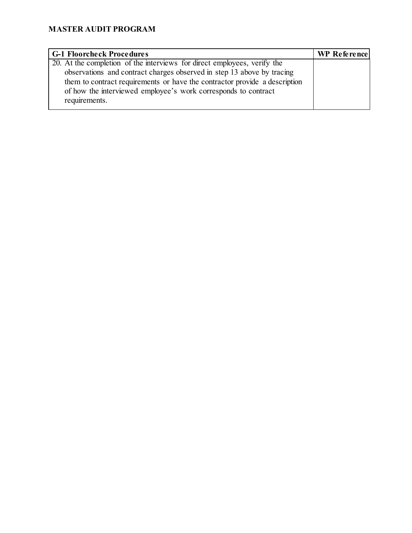| <b>G-1 Floorcheck Procedures</b>                                                       | WP Reference |
|----------------------------------------------------------------------------------------|--------------|
| $\overline{20}$ . At the completion of the interviews for direct employees, verify the |              |
| observations and contract charges observed in step 13 above by tracing                 |              |
| them to contract requirements or have the contractor provide a description             |              |
| of how the interviewed employee's work corresponds to contract                         |              |
| requirements.                                                                          |              |
|                                                                                        |              |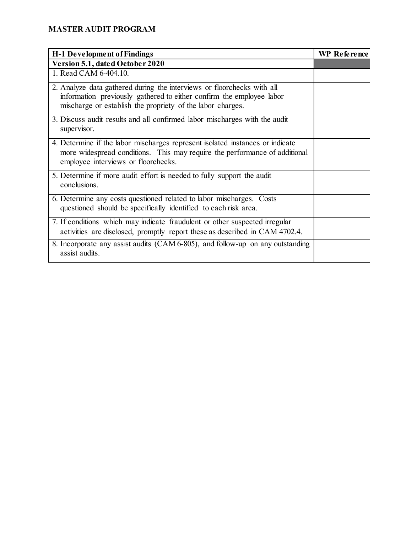| <b>H-1 Development of Findings</b>                                                                                                                                                                           | <b>WP</b> Reference |
|--------------------------------------------------------------------------------------------------------------------------------------------------------------------------------------------------------------|---------------------|
| Version 5.1, dated October 2020                                                                                                                                                                              |                     |
| 1. Read CAM 6-404.10.                                                                                                                                                                                        |                     |
| 2. Analyze data gathered during the interviews or floorchecks with all<br>information previously gathered to either confirm the employee labor<br>mischarge or establish the propriety of the labor charges. |                     |
| 3. Discuss audit results and all confirmed labor mischarges with the audit<br>supervisor.                                                                                                                    |                     |
| 4. Determine if the labor mischarges represent isolated instances or indicate<br>more widespread conditions. This may require the performance of additional<br>employee interviews or floorchecks.           |                     |
| 5. Determine if more audit effort is needed to fully support the audit<br>conclusions.                                                                                                                       |                     |
| 6. Determine any costs questioned related to labor mischarges. Costs<br>questioned should be specifically identified to each risk area.                                                                      |                     |
| 7. If conditions which may indicate fraudulent or other suspected irregular<br>activities are disclosed, promptly report these as described in CAM 4702.4.                                                   |                     |
| 8. Incorporate any assist audits (CAM 6-805), and follow-up on any outstanding<br>assist audits.                                                                                                             |                     |